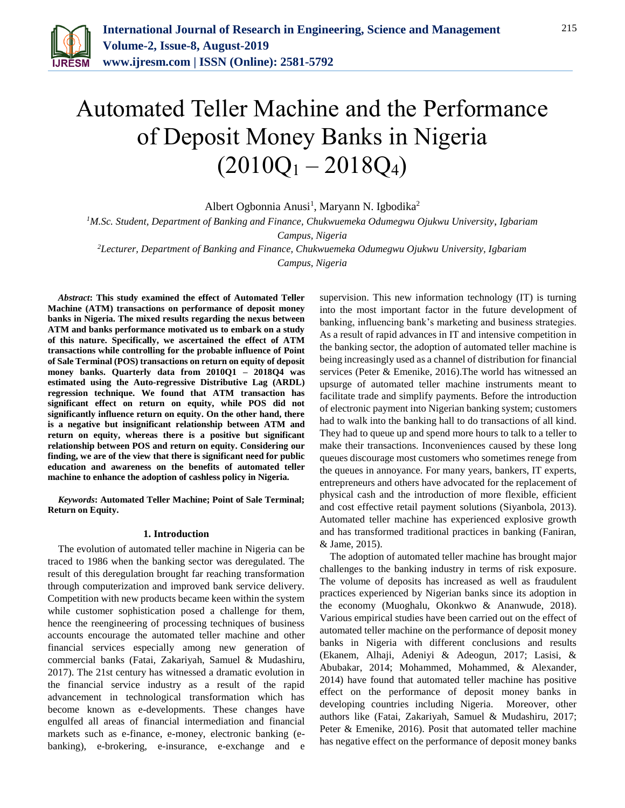

# Automated Teller Machine and the Performance of Deposit Money Banks in Nigeria  $(2010Q_1 - 2018Q_4)$

Albert Ogbonnia Anusi<sup>1</sup>, Maryann N. Igbodika<sup>2</sup>

*<sup>1</sup>M.Sc. Student, Department of Banking and Finance, Chukwuemeka Odumegwu Ojukwu University*, *Igbariam* 

*Campus, Nigeria*

*<sup>2</sup>Lecturer, Department of Banking and Finance, Chukwuemeka Odumegwu Ojukwu University, Igbariam Campus, Nigeria*

*Abstract***: This study examined the effect of Automated Teller Machine (ATM) transactions on performance of deposit money banks in Nigeria. The mixed results regarding the nexus between ATM and banks performance motivated us to embark on a study of this nature. Specifically, we ascertained the effect of ATM transactions while controlling for the probable influence of Point of Sale Terminal (POS) transactions on return on equity of deposit money banks. Quarterly data from 2010Q1 – 2018Q4 was estimated using the Auto-regressive Distributive Lag (ARDL) regression technique. We found that ATM transaction has significant effect on return on equity, while POS did not significantly influence return on equity. On the other hand, there is a negative but insignificant relationship between ATM and return on equity, whereas there is a positive but significant relationship between POS and return on equity. Considering our finding, we are of the view that there is significant need for public education and awareness on the benefits of automated teller machine to enhance the adoption of cashless policy in Nigeria.**

*Keywords***: Automated Teller Machine; Point of Sale Terminal; Return on Equity.**

#### **1. Introduction**

The evolution of automated teller machine in Nigeria can be traced to 1986 when the banking sector was deregulated. The result of this deregulation brought far reaching transformation through computerization and improved bank service delivery. Competition with new products became keen within the system while customer sophistication posed a challenge for them, hence the reengineering of processing techniques of business accounts encourage the automated teller machine and other financial services especially among new generation of commercial banks (Fatai, Zakariyah, Samuel & Mudashiru, 2017). The 21st century has witnessed a dramatic evolution in the financial service industry as a result of the rapid advancement in technological transformation which has become known as e-developments. These changes have engulfed all areas of financial intermediation and financial markets such as e-finance, e-money, electronic banking (ebanking), e-brokering, e-insurance, e-exchange and e supervision. This new information technology (IT) is turning into the most important factor in the future development of banking, influencing bank's marketing and business strategies. As a result of rapid advances in IT and intensive competition in the banking sector, the adoption of automated teller machine is being increasingly used as a channel of distribution for financial services (Peter & Emenike, 2016).The world has witnessed an upsurge of automated teller machine instruments meant to facilitate trade and simplify payments. Before the introduction of electronic payment into Nigerian banking system; customers had to walk into the banking hall to do transactions of all kind. They had to queue up and spend more hours to talk to a teller to make their transactions. Inconveniences caused by these long queues discourage most customers who sometimes renege from the queues in annoyance. For many years, bankers, IT experts, entrepreneurs and others have advocated for the replacement of physical cash and the introduction of more flexible, efficient and cost effective retail payment solutions (Siyanbola, 2013). Automated teller machine has experienced explosive growth and has transformed traditional practices in banking (Faniran, & Jame, 2015).

The adoption of automated teller machine has brought major challenges to the banking industry in terms of risk exposure. The volume of deposits has increased as well as fraudulent practices experienced by Nigerian banks since its adoption in the economy (Muoghalu, Okonkwo & Ananwude, 2018). Various empirical studies have been carried out on the effect of automated teller machine on the performance of deposit money banks in Nigeria with different conclusions and results (Ekanem, Alhaji, Adeniyi & Adeogun, 2017; Lasisi, & Abubakar, 2014; Mohammed, Mohammed, & Alexander, 2014) have found that automated teller machine has positive effect on the performance of deposit money banks in developing countries including Nigeria. Moreover, other authors like (Fatai, Zakariyah, Samuel & Mudashiru, 2017; Peter & Emenike, 2016). Posit that automated teller machine has negative effect on the performance of deposit money banks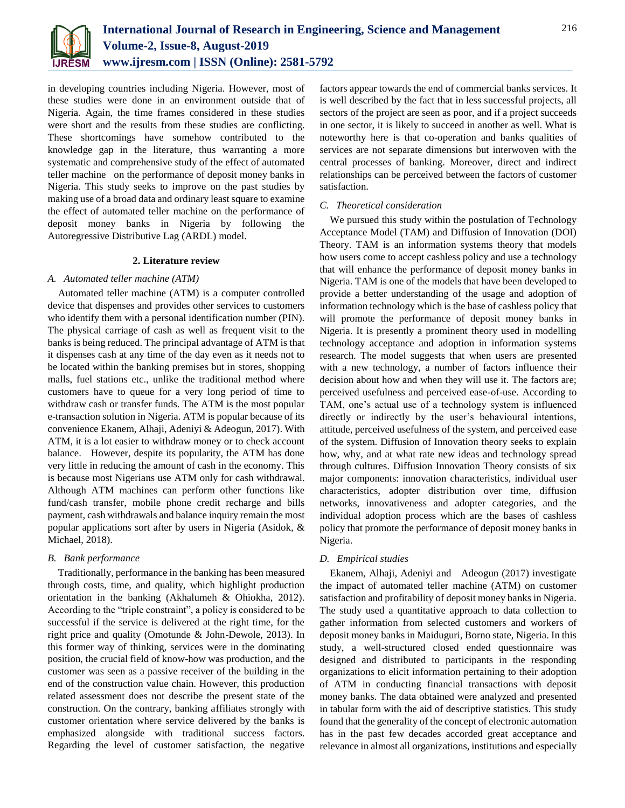

in developing countries including Nigeria. However, most of these studies were done in an environment outside that of Nigeria. Again, the time frames considered in these studies were short and the results from these studies are conflicting. These shortcomings have somehow contributed to the knowledge gap in the literature, thus warranting a more systematic and comprehensive study of the effect of automated teller machine on the performance of deposit money banks in Nigeria. This study seeks to improve on the past studies by making use of a broad data and ordinary least square to examine the effect of automated teller machine on the performance of deposit money banks in Nigeria by following the Autoregressive Distributive Lag (ARDL) model.

#### **2. Literature review**

#### *A. Automated teller machine (ATM)*

Automated teller machine (ATM) is a computer controlled device that dispenses and provides other services to customers who identify them with a personal identification number (PIN). The physical carriage of cash as well as frequent visit to the banks is being reduced. The principal advantage of ATM is that it dispenses cash at any time of the day even as it needs not to be located within the banking premises but in stores, shopping malls, fuel stations etc., unlike the traditional method where customers have to queue for a very long period of time to withdraw cash or transfer funds. The ATM is the most popular e-transaction solution in Nigeria. ATM is popular because of its convenience Ekanem, Alhaji, Adeniyi & Adeogun, 2017). With ATM, it is a lot easier to withdraw money or to check account balance. However, despite its popularity, the ATM has done very little in reducing the amount of cash in the economy. This is because most Nigerians use ATM only for cash withdrawal. Although ATM machines can perform other functions like fund/cash transfer, mobile phone credit recharge and bills payment, cash withdrawals and balance inquiry remain the most popular applications sort after by users in Nigeria (Asidok, & Michael, 2018).

#### *B. Bank performance*

Traditionally, performance in the banking has been measured through costs, time, and quality, which highlight production orientation in the banking (Akhalumeh & Ohiokha, 2012). According to the "triple constraint", a policy is considered to be successful if the service is delivered at the right time, for the right price and quality (Omotunde & John-Dewole, 2013). In this former way of thinking, services were in the dominating position, the crucial field of know-how was production, and the customer was seen as a passive receiver of the building in the end of the construction value chain. However, this production related assessment does not describe the present state of the construction. On the contrary, banking affiliates strongly with customer orientation where service delivered by the banks is emphasized alongside with traditional success factors. Regarding the level of customer satisfaction, the negative

factors appear towards the end of commercial banks services. It is well described by the fact that in less successful projects, all sectors of the project are seen as poor, and if a project succeeds in one sector, it is likely to succeed in another as well. What is noteworthy here is that co-operation and banks qualities of services are not separate dimensions but interwoven with the central processes of banking. Moreover, direct and indirect relationships can be perceived between the factors of customer satisfaction.

#### *C. Theoretical consideration*

We pursued this study within the postulation of Technology Acceptance Model (TAM) and Diffusion of Innovation (DOI) Theory. TAM is an information systems theory that models how users come to accept cashless policy and use a technology that will enhance the performance of deposit money banks in Nigeria. TAM is one of the models that have been developed to provide a better understanding of the usage and adoption of information technology which is the base of cashless policy that will promote the performance of deposit money banks in Nigeria. It is presently a prominent theory used in modelling technology acceptance and adoption in information systems research. The model suggests that when users are presented with a new technology, a number of factors influence their decision about how and when they will use it. The factors are; perceived usefulness and perceived ease-of-use. According to TAM, one's actual use of a technology system is influenced directly or indirectly by the user's behavioural intentions, attitude, perceived usefulness of the system, and perceived ease of the system. Diffusion of Innovation theory seeks to explain how, why, and at what rate new ideas and technology spread through cultures. Diffusion Innovation Theory consists of six major components: innovation characteristics, individual user characteristics, adopter distribution over time, diffusion networks, innovativeness and adopter categories, and the individual adoption process which are the bases of cashless policy that promote the performance of deposit money banks in Nigeria.

#### *D. Empirical studies*

Ekanem, Alhaji, Adeniyi and Adeogun (2017) investigate the impact of automated teller machine (ATM) on customer satisfaction and profitability of deposit money banks in Nigeria. The study used a quantitative approach to data collection to gather information from selected customers and workers of deposit money banks in Maiduguri, Borno state, Nigeria. In this study, a well-structured closed ended questionnaire was designed and distributed to participants in the responding organizations to elicit information pertaining to their adoption of ATM in conducting financial transactions with deposit money banks. The data obtained were analyzed and presented in tabular form with the aid of descriptive statistics. This study found that the generality of the concept of electronic automation has in the past few decades accorded great acceptance and relevance in almost all organizations, institutions and especially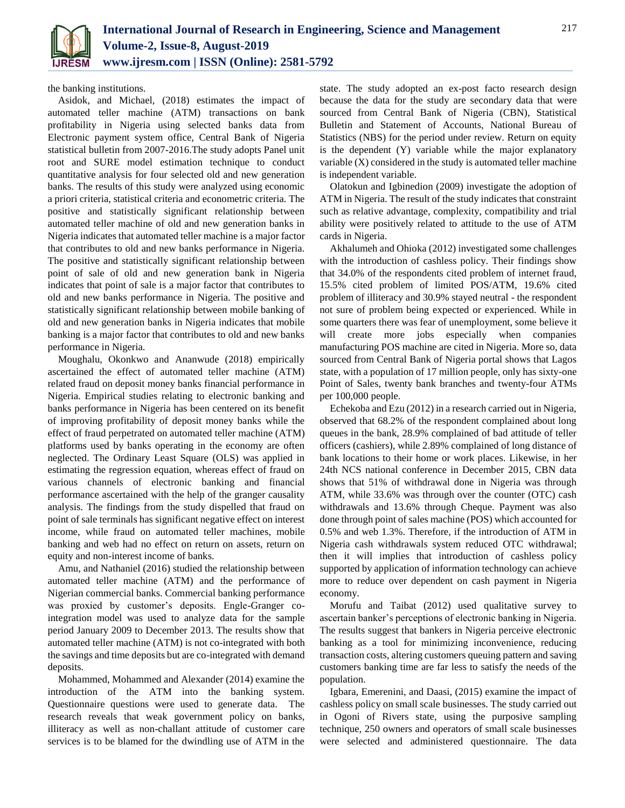

the banking institutions.

Asidok, and Michael, (2018) estimates the impact of automated teller machine (ATM) transactions on bank profitability in Nigeria using selected banks data from Electronic payment system office, Central Bank of Nigeria statistical bulletin from 2007-2016.The study adopts Panel unit root and SURE model estimation technique to conduct quantitative analysis for four selected old and new generation banks. The results of this study were analyzed using economic a priori criteria, statistical criteria and econometric criteria. The positive and statistically significant relationship between automated teller machine of old and new generation banks in Nigeria indicates that automated teller machine is a major factor that contributes to old and new banks performance in Nigeria. The positive and statistically significant relationship between point of sale of old and new generation bank in Nigeria indicates that point of sale is a major factor that contributes to old and new banks performance in Nigeria. The positive and statistically significant relationship between mobile banking of old and new generation banks in Nigeria indicates that mobile banking is a major factor that contributes to old and new banks performance in Nigeria.

Moughalu, Okonkwo and Ananwude (2018) empirically ascertained the effect of automated teller machine (ATM) related fraud on deposit money banks financial performance in Nigeria. Empirical studies relating to electronic banking and banks performance in Nigeria has been centered on its benefit of improving profitability of deposit money banks while the effect of fraud perpetrated on automated teller machine (ATM) platforms used by banks operating in the economy are often neglected. The Ordinary Least Square (OLS) was applied in estimating the regression equation, whereas effect of fraud on various channels of electronic banking and financial performance ascertained with the help of the granger causality analysis. The findings from the study dispelled that fraud on point of sale terminals has significant negative effect on interest income, while fraud on automated teller machines, mobile banking and web had no effect on return on assets, return on equity and non-interest income of banks.

Amu, and Nathaniel (2016) studied the relationship between automated teller machine (ATM) and the performance of Nigerian commercial banks. Commercial banking performance was proxied by customer's deposits. Engle-Granger cointegration model was used to analyze data for the sample period January 2009 to December 2013. The results show that automated teller machine (ATM) is not co-integrated with both the savings and time deposits but are co-integrated with demand deposits.

Mohammed, Mohammed and Alexander (2014) examine the introduction of the ATM into the banking system. Questionnaire questions were used to generate data. The research reveals that weak government policy on banks, illiteracy as well as non-challant attitude of customer care services is to be blamed for the dwindling use of ATM in the

state. The study adopted an ex-post facto research design because the data for the study are secondary data that were sourced from Central Bank of Nigeria (CBN), Statistical Bulletin and Statement of Accounts, National Bureau of Statistics (NBS) for the period under review. Return on equity is the dependent (Y) variable while the major explanatory variable (X) considered in the study is automated teller machine is independent variable.

Olatokun and Igbinedion (2009) investigate the adoption of ATM in Nigeria. The result of the study indicates that constraint such as relative advantage, complexity, compatibility and trial ability were positively related to attitude to the use of ATM cards in Nigeria.

Akhalumeh and Ohioka (2012) investigated some challenges with the introduction of cashless policy. Their findings show that 34.0% of the respondents cited problem of internet fraud, 15.5% cited problem of limited POS/ATM, 19.6% cited problem of illiteracy and 30.9% stayed neutral - the respondent not sure of problem being expected or experienced. While in some quarters there was fear of unemployment, some believe it will create more jobs especially when companies manufacturing POS machine are cited in Nigeria. More so, data sourced from Central Bank of Nigeria portal shows that Lagos state, with a population of 17 million people, only has sixty-one Point of Sales, twenty bank branches and twenty-four ATMs per 100,000 people.

Echekoba and Ezu (2012) in a research carried out in Nigeria, observed that 68.2% of the respondent complained about long queues in the bank, 28.9% complained of bad attitude of teller officers (cashiers), while 2.89% complained of long distance of bank locations to their home or work places. Likewise, in her 24th NCS national conference in December 2015, CBN data shows that 51% of withdrawal done in Nigeria was through ATM, while 33.6% was through over the counter (OTC) cash withdrawals and 13.6% through Cheque. Payment was also done through point of sales machine (POS) which accounted for 0.5% and web 1.3%. Therefore, if the introduction of ATM in Nigeria cash withdrawals system reduced OTC withdrawal; then it will implies that introduction of cashless policy supported by application of information technology can achieve more to reduce over dependent on cash payment in Nigeria economy.

Morufu and Taibat (2012) used qualitative survey to ascertain banker's perceptions of electronic banking in Nigeria. The results suggest that bankers in Nigeria perceive electronic banking as a tool for minimizing inconvenience, reducing transaction costs, altering customers queuing pattern and saving customers banking time are far less to satisfy the needs of the population.

Igbara, Emerenini, and Daasi, (2015) examine the impact of cashless policy on small scale businesses. The study carried out in Ogoni of Rivers state, using the purposive sampling technique, 250 owners and operators of small scale businesses were selected and administered questionnaire. The data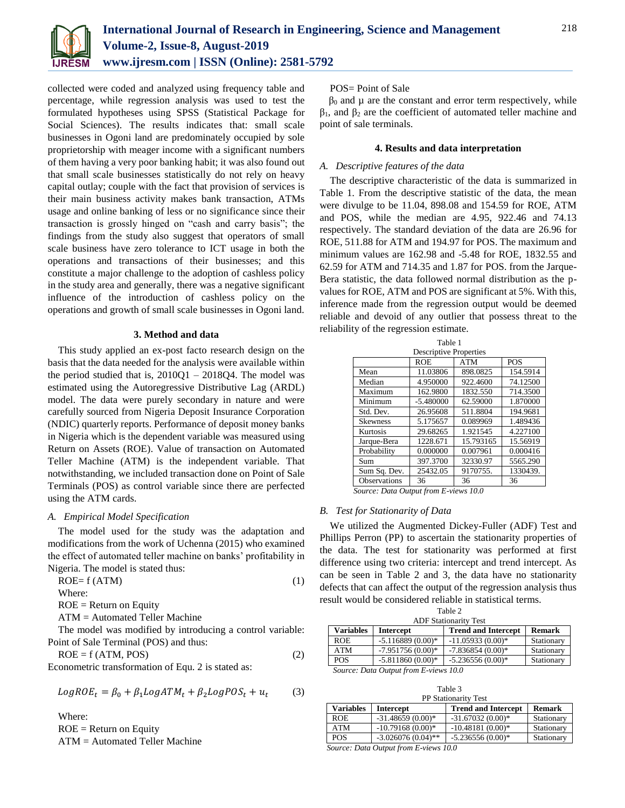

collected were coded and analyzed using frequency table and percentage, while regression analysis was used to test the formulated hypotheses using SPSS (Statistical Package for Social Sciences). The results indicates that: small scale businesses in Ogoni land are predominately occupied by sole proprietorship with meager income with a significant numbers of them having a very poor banking habit; it was also found out that small scale businesses statistically do not rely on heavy capital outlay; couple with the fact that provision of services is their main business activity makes bank transaction, ATMs usage and online banking of less or no significance since their transaction is grossly hinged on "cash and carry basis"; the findings from the study also suggest that operators of small scale business have zero tolerance to ICT usage in both the operations and transactions of their businesses; and this constitute a major challenge to the adoption of cashless policy in the study area and generally, there was a negative significant influence of the introduction of cashless policy on the operations and growth of small scale businesses in Ogoni land.

# **3. Method and data**

This study applied an ex-post facto research design on the basis that the data needed for the analysis were available within the period studied that is,  $2010Q1 - 2018Q4$ . The model was estimated using the Autoregressive Distributive Lag (ARDL) model. The data were purely secondary in nature and were carefully sourced from Nigeria Deposit Insurance Corporation (NDIC) quarterly reports. Performance of deposit money banks in Nigeria which is the dependent variable was measured using Return on Assets (ROE). Value of transaction on Automated Teller Machine (ATM) is the independent variable. That notwithstanding, we included transaction done on Point of Sale Terminals (POS) as control variable since there are perfected using the ATM cards.

#### *A. Empirical Model Specification*

The model used for the study was the adaptation and modifications from the work of Uchenna (2015) who examined the effect of automated teller machine on banks' profitability in Nigeria. The model is stated thus:

$$
ROE = f (ATM)
$$
 (1)

Where:

 $ROE = Return$  on Equity

ATM = Automated Teller Machine

The model was modified by introducing a control variable: Point of Sale Terminal (POS) and thus:

$$
ROE = f (ATM, POS)
$$
\n
$$
E_{\text{C}nonconstrained transformation of E, C} \quad 2 \text{ is stated as:}
$$
\n
$$
(2)
$$

Econometric transformation of Equ. 2 is stated as:

$$
LogROE_t = \beta_0 + \beta_1 LogATM_t + \beta_2 LogPOS_t + u_t \tag{3}
$$

Where:  $ROE = Return$  on Equity ATM = Automated Teller Machine

# POS= Point of Sale

 $β<sub>0</sub>$  and  $μ$  are the constant and error term respectively, while  $β<sub>1</sub>$ , and  $β<sub>2</sub>$  are the coefficient of automated teller machine and point of sale terminals.

## **4. Results and data interpretation**

## *A. Descriptive features of the data*

The descriptive characteristic of the data is summarized in Table 1. From the descriptive statistic of the data, the mean were divulge to be 11.04, 898.08 and 154.59 for ROE, ATM and POS, while the median are 4.95, 922.46 and 74.13 respectively. The standard deviation of the data are 26.96 for ROE, 511.88 for ATM and 194.97 for POS. The maximum and minimum values are 162.98 and -5.48 for ROE, 1832.55 and 62.59 for ATM and 714.35 and 1.87 for POS. from the Jarque-Bera statistic, the data followed normal distribution as the pvalues for ROE, ATM and POS are significant at 5%. With this, inference made from the regression output would be deemed reliable and devoid of any outlier that possess threat to the reliability of the regression estimate.

| Table 1             |                               |            |            |
|---------------------|-------------------------------|------------|------------|
|                     | <b>Descriptive Properties</b> |            |            |
|                     | <b>ROE</b>                    | <b>ATM</b> | <b>POS</b> |
| Mean                | 11.03806                      | 898.0825   | 154.5914   |
| Median              | 4.950000                      | 922.4600   | 74.12500   |
| Maximum             | 162.9800                      | 1832.550   | 714.3500   |
| Minimum             | $-5.480000$                   | 62.59000   | 1.870000   |
| Std. Dev.           | 26.95608                      | 511.8804   | 194.9681   |
| <b>Skewness</b>     | 5.175657                      | 0.089969   | 1.489436   |
| Kurtosis            | 29.68265                      | 1.921545   | 4.227100   |
| Jarque-Bera         | 1228.671                      | 15.793165  | 15.56919   |
| Probability         | 0.000000                      | 0.007961   | 0.000416   |
| Sum                 | 397.3700                      | 32330.97   | 5565.290   |
| Sum Sq. Dev.        | 25432.05                      | 9170755.   | 1330439.   |
| <b>Observations</b> | 36                            | 36         | 36         |

*Source: Data Output from E-views 10.0*

#### *B. Test for Stationarity of Data*

We utilized the Augmented Dickey-Fuller (ADF) Test and Phillips Perron (PP) to ascertain the stationarity properties of the data. The test for stationarity was performed at first difference using two criteria: intercept and trend intercept. As can be seen in Table 2 and 3, the data have no stationarity defects that can affect the output of the regression analysis thus result would be considered reliable in statistical terms.

|                  |                                       | Table 2                      |               |
|------------------|---------------------------------------|------------------------------|---------------|
|                  |                                       | <b>ADF Stationarity Test</b> |               |
| <b>Variables</b> | Intercept                             | <b>Trend and Intercept</b>   | <b>Remark</b> |
| <b>ROE</b>       | $-5.116889(0.00)*$                    | $-11.05933(0.00)*$           | Stationary    |
| ATM              | $-7.951756(0.00)*$                    | $-7.836854(0.00)*$           | Stationary    |
| <b>POS</b>       | $-5.811860(0.00)*$                    | $-5.236556(0.00)*$           | Stationary    |
|                  | Source: Data Output from E-views 10.0 |                              |               |

|  | Table 3 |  |  |
|--|---------|--|--|
|  |         |  |  |

| <b>PP Stationarity Test</b> |                                                                  |                            |               |
|-----------------------------|------------------------------------------------------------------|----------------------------|---------------|
| <b>Variables</b>            | <b>Intercept</b>                                                 | <b>Trend and Intercept</b> | <b>Remark</b> |
| <b>ROE</b>                  | $-31.48659(0.00)*$                                               | $-31.67032(0.00)*$         | Stationary    |
| <b>ATM</b>                  | $-10.79168(0.00)*$                                               | $-10.48181(0.00)*$         | Stationary    |
| <b>POS</b>                  | $-3.026076(0.04)$ **                                             | $-5.236556(0.00)*$         | Stationary    |
|                             | $\alpha$ $\alpha$ , $\alpha$ $\beta$ , $\beta$ $\beta$ , $\beta$ |                            |               |

 *Source: Data Output from E-views 10.0*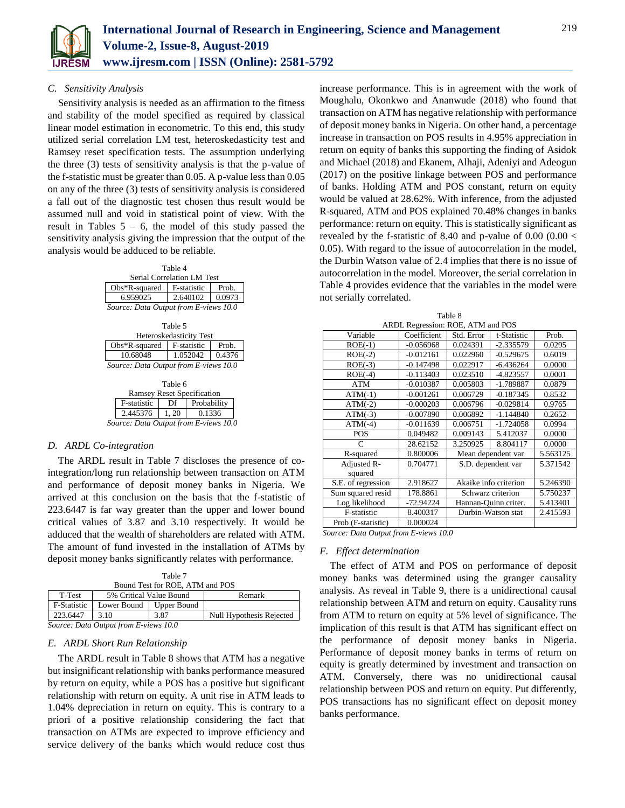

# *C. Sensitivity Analysis*

Sensitivity analysis is needed as an affirmation to the fitness and stability of the model specified as required by classical linear model estimation in econometric. To this end, this study utilized serial correlation LM test, heteroskedasticity test and Ramsey reset specification tests. The assumption underlying the three (3) tests of sensitivity analysis is that the p-value of the f-statistic must be greater than 0.05. A p-value less than 0.05 on any of the three (3) tests of sensitivity analysis is considered a fall out of the diagnostic test chosen thus result would be assumed null and void in statistical point of view. With the result in Tables  $5 - 6$ , the model of this study passed the sensitivity analysis giving the impression that the output of the analysis would be adduced to be reliable.

| Table 4                               |             |        |  |  |
|---------------------------------------|-------------|--------|--|--|
| Serial Correlation LM Test            |             |        |  |  |
| $Obs*R$ -squared                      | F-statistic | Prob.  |  |  |
| 6.959025                              | 2.640102    | 0.0973 |  |  |
| Source: Data Output from E-views 10.0 |             |        |  |  |

| Table 5                               |             |        |  |  |
|---------------------------------------|-------------|--------|--|--|
| Heteroskedasticity Test               |             |        |  |  |
| $Obs*R$ -squared                      | F-statistic | Prob.  |  |  |
| 10.68048                              | 1.052042    | 0.4376 |  |  |
| Source: Data Output from E-views 10.0 |             |        |  |  |

| Table 6                           |      |                                       |  |  |
|-----------------------------------|------|---------------------------------------|--|--|
| <b>Ramsey Reset Specification</b> |      |                                       |  |  |
| F-statistic                       | Df   | Probability                           |  |  |
| 2.445376                          | 1.20 | 0.1336                                |  |  |
|                                   |      | Source: Data Output from E-views 10.0 |  |  |

#### *D. ARDL Co-integration*

The ARDL result in Table 7 discloses the presence of cointegration/long run relationship between transaction on ATM and performance of deposit money banks in Nigeria. We arrived at this conclusion on the basis that the f-statistic of 223.6447 is far way greater than the upper and lower bound critical values of 3.87 and 3.10 respectively. It would be adduced that the wealth of shareholders are related with ATM. The amount of fund invested in the installation of ATMs by deposit money banks significantly relates with performance.

| Table 7<br>Bound Test for ROE, ATM and POS |                         |             |                          |  |
|--------------------------------------------|-------------------------|-------------|--------------------------|--|
| T-Test                                     | 5% Critical Value Bound |             | Remark                   |  |
| F-Statistic                                | Lower Bound             | Upper Bound |                          |  |
| 223.6447                                   | 3.10                    | 3.87        | Null Hypothesis Rejected |  |
| Source: Data Output from E-views 10.0      |                         |             |                          |  |

*Source: Data Output from E-views 10.0*

#### *E. ARDL Short Run Relationship*

The ARDL result in Table 8 shows that ATM has a negative but insignificant relationship with banks performance measured by return on equity, while a POS has a positive but significant relationship with return on equity. A unit rise in ATM leads to 1.04% depreciation in return on equity. This is contrary to a priori of a positive relationship considering the fact that transaction on ATMs are expected to improve efficiency and service delivery of the banks which would reduce cost thus increase performance. This is in agreement with the work of Moughalu, Okonkwo and Ananwude (2018) who found that transaction on ATM has negative relationship with performance of deposit money banks in Nigeria. On other hand, a percentage increase in transaction on POS results in 4.95% appreciation in return on equity of banks this supporting the finding of Asidok and Michael (2018) and Ekanem, Alhaji, Adeniyi and Adeogun (2017) on the positive linkage between POS and performance of banks. Holding ATM and POS constant, return on equity would be valued at 28.62%. With inference, from the adjusted R-squared, ATM and POS explained 70.48% changes in banks performance: return on equity. This is statistically significant as revealed by the f-statistic of 8.40 and p-value of  $0.00$  ( $0.00 <$ 0.05). With regard to the issue of autocorrelation in the model, the Durbin Watson value of 2.4 implies that there is no issue of autocorrelation in the model. Moreover, the serial correlation in Table 4 provides evidence that the variables in the model were not serially correlated.

|                    | ARDL Regression: ROE, ATM and POS |            |                       |          |
|--------------------|-----------------------------------|------------|-----------------------|----------|
| Variable           | Coefficient                       | Std. Error | t-Statistic           | Prob.    |
| $ROE(-1)$          | $-0.056968$                       | 0.024391   | $-2.335579$           | 0.0295   |
| $ROE(-2)$          | $-0.012161$                       | 0.022960   | $-0.529675$           | 0.6019   |
| $ROE(-3)$          | $-0.147498$                       | 0.022917   | $-6.436264$           | 0.0000   |
| $ROE(-4)$          | $-0.113403$                       | 0.023510   | -4.823557             | 0.0001   |
| <b>ATM</b>         | $-0.010387$                       | 0.005803   | -1.789887             | 0.0879   |
| $ATM(-1)$          | $-0.001261$                       | 0.006729   | $-0.187345$           | 0.8532   |
| $ATM(-2)$          | $-0.000203$                       | 0.006796   | $-0.029814$           | 0.9765   |
| $ATM(-3)$          | $-0.007890$                       | 0.006892   | $-1.144840$           | 0.2652   |
| $ATM(-4)$          | $-0.011639$                       | 0.006751   | $-1.724058$           | 0.0994   |
| <b>POS</b>         | 0.049482                          | 0.009143   | 5.412037              | 0.0000   |
| $\subset$          | 28.62152                          | 3.250925   | 8.804117              | 0.0000   |
| R-squared          | 0.800006                          |            | Mean dependent var    | 5.563125 |
| Adjusted R-        | 0.704771                          |            | S.D. dependent var    | 5.371542 |
| squared            |                                   |            |                       |          |
| S.E. of regression | 2.918627                          |            | Akaike info criterion | 5.246390 |
| Sum squared resid  | 178.8861                          |            | Schwarz criterion     | 5.750237 |
| Log likelihood     | -72.94224                         |            | Hannan-Quinn criter.  | 5.413401 |
| F-statistic        | 8.400317                          |            | Durbin-Watson stat    | 2.415593 |
| Prob (F-statistic) | 0.000024                          |            |                       |          |
|                    |                                   |            |                       |          |

Table 8

*Source: Data Output from E-views 10.0*

# *F. Effect determination*

The effect of ATM and POS on performance of deposit money banks was determined using the granger causality analysis. As reveal in Table 9, there is a unidirectional causal relationship between ATM and return on equity. Causality runs from ATM to return on equity at 5% level of significance. The implication of this result is that ATM has significant effect on the performance of deposit money banks in Nigeria. Performance of deposit money banks in terms of return on equity is greatly determined by investment and transaction on ATM. Conversely, there was no unidirectional causal relationship between POS and return on equity. Put differently, POS transactions has no significant effect on deposit money banks performance.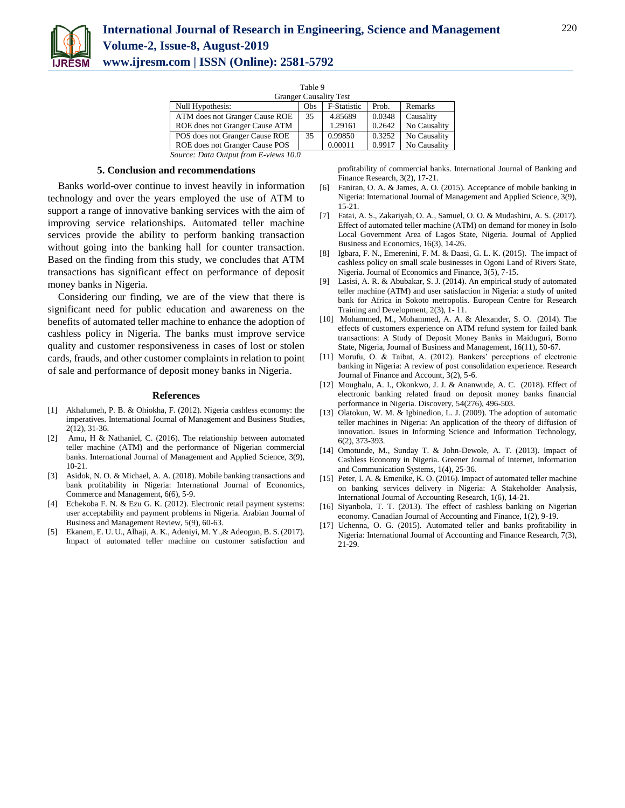

| Table 9                                                                              |     |                               |        |              |
|--------------------------------------------------------------------------------------|-----|-------------------------------|--------|--------------|
|                                                                                      |     | <b>Granger Causality Test</b> |        |              |
| Null Hypothesis:                                                                     | Obs | F-Statistic                   | Prob.  | Remarks      |
| ATM does not Granger Cause ROE                                                       | 35  | 4.85689                       | 0.0348 | Causality    |
| ROE does not Granger Cause ATM                                                       |     | 1.29161                       | 0.2642 | No Causality |
| POS does not Granger Cause ROE                                                       | 35  | 0.99850                       | 0.3252 | No Causality |
| ROE does not Granger Cause POS                                                       |     | 0.00011                       | 0.9917 | No Causality |
| $\sim$ $\sim$<br>$\mathbf{r}$ $\alpha$ $\beta$ $\mathbf{r}$ $\mathbf{r}$<br>$\cdots$ |     |                               |        |              |

 *Source: Data Output from E-views 10.0*

#### **5. Conclusion and recommendations**

Banks world-over continue to invest heavily in information technology and over the years employed the use of ATM to support a range of innovative banking services with the aim of improving service relationships. Automated teller machine services provide the ability to perform banking transaction without going into the banking hall for counter transaction. Based on the finding from this study, we concludes that ATM transactions has significant effect on performance of deposit money banks in Nigeria.

Considering our finding, we are of the view that there is significant need for public education and awareness on the benefits of automated teller machine to enhance the adoption of cashless policy in Nigeria. The banks must improve service quality and customer responsiveness in cases of lost or stolen cards, frauds, and other customer complaints in relation to point of sale and performance of deposit money banks in Nigeria.

#### **References**

- [1] Akhalumeh, P. B. & Ohiokha, F. (2012). Nigeria cashless economy: the imperatives. International Journal of Management and Business Studies, 2(12), 31-36.
- Amu, H & Nathaniel, C. (2016). The relationship between automated teller machine (ATM) and the performance of Nigerian commercial banks. International Journal of Management and Applied Science, 3(9), 10-21.
- [3] Asidok, N. O. & Michael, A. A. (2018). Mobile banking transactions and bank profitability in Nigeria: International Journal of Economics, Commerce and Management, 6(6), 5-9.
- [4] Echekoba F. N. & Ezu G. K. (2012). Electronic retail payment systems: user acceptability and payment problems in Nigeria. Arabian Journal of Business and Management Review, 5(9), 60-63.
- [5] Ekanem, E. U. U., Alhaji, A. K., Adeniyi, M. Y.,& Adeogun, B. S. (2017). Impact of automated teller machine on customer satisfaction and

profitability of commercial banks. International Journal of Banking and Finance Research, 3(2), 17-21.

- [6] Faniran, O. A. & James, A. O. (2015). Acceptance of mobile banking in Nigeria: International Journal of Management and Applied Science, 3(9), 15-21.
- [7] Fatai, A. S., Zakariyah, O. A., Samuel, O. O. & Mudashiru, A. S. (2017). Effect of automated teller machine (ATM) on demand for money in Isolo Local Government Area of Lagos State, Nigeria. Journal of Applied Business and Economics, 16(3), 14-26.
- [8] Igbara, F. N., Emerenini, F. M. & Daasi, G. L. K. (2015). The impact of cashless policy on small scale businesses in Ogoni Land of Rivers State, Nigeria. Journal of Economics and Finance, 3(5), 7-15.
- [9] Lasisi, A. R. & Abubakar, S. J. (2014). An empirical study of automated teller machine (ATM) and user satisfaction in Nigeria: a study of united bank for Africa in Sokoto metropolis. European Centre for Research Training and Development, 2(3), 1- 11.
- [10] Mohammed, M., Mohammed, A. A. & Alexander, S. O. (2014). The effects of customers experience on ATM refund system for failed bank transactions: A Study of Deposit Money Banks in Maiduguri, Borno State, Nigeria, Journal of Business and Management, 16(11), 50-67.
- [11] Morufu, O. & Taibat, A. (2012). Bankers' perceptions of electronic banking in Nigeria: A review of post consolidation experience. Research Journal of Finance and Account, 3(2), 5-6.
- [12] Moughalu, A. I., Okonkwo, J. J. & Ananwude, A. C. (2018). Effect of electronic banking related fraud on deposit money banks financial performance in Nigeria. Discovery, 54(276), 496-503.
- [13] Olatokun, W. M. & Igbinedion, L. J. (2009). The adoption of automatic teller machines in Nigeria: An application of the theory of diffusion of innovation. Issues in Informing Science and Information Technology, 6(2), 373-393.
- [14] Omotunde, M., Sunday T. & John-Dewole, A. T. (2013). Impact of Cashless Economy in Nigeria. Greener Journal of Internet, Information and Communication Systems, 1(4), 25-36.
- [15] Peter, I. A. & Emenike, K. O. (2016). Impact of automated teller machine on banking services delivery in Nigeria: A Stakeholder Analysis, International Journal of Accounting Research, 1(6), 14-21.
- [16] Siyanbola, T. T. (2013). The effect of cashless banking on Nigerian economy. Canadian Journal of Accounting and Finance, 1(2), 9-19.
- [17] Uchenna, O. G. (2015). Automated teller and banks profitability in Nigeria: International Journal of Accounting and Finance Research, 7(3), 21-29.